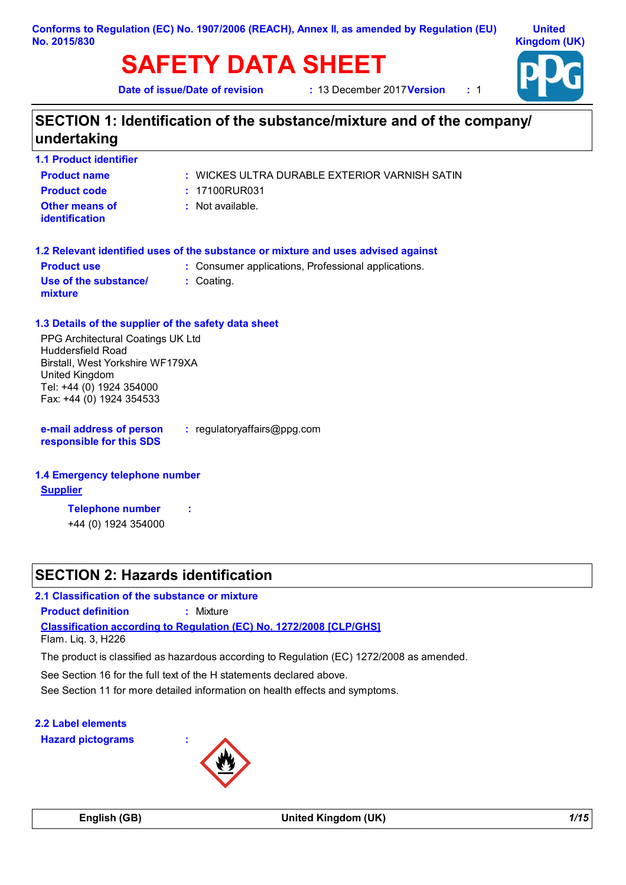#### **Conforms to Regulation (EC) No. 1907/2006 (REACH), Annex II, as amended by Regulation (EU) No. 2015/830**

# **SAFETY DATA SHEET**

**Date of issue/Date of revision** 

**2017 Version 12017** 12012



### **SECTION 1: Identification of the substance/mixture and of the company/ undertaking**

| <b>1.1 Product identifier</b>           |                                                    |
|-----------------------------------------|----------------------------------------------------|
| <b>Product name</b>                     | $\pm$ WICKES ULTRA DURABLE EXTERIOR VARNISH SATIN. |
| <b>Product code</b>                     | : 17100RUR031                                      |
| <b>Other means of</b><br>identification | : Not available.                                   |

|                                  | 1.2 Relevant identified uses of the substance or mixture and uses advised against |
|----------------------------------|-----------------------------------------------------------------------------------|
| <b>Product use</b>               | : Consumer applications, Professional applications.                               |
| Use of the substance/<br>mixture | : Coating.                                                                        |

### **1.3 Details of the supplier of the safety data sheet**

PPG Architectural Coatings UK Ltd Huddersfield Road Birstall, West Yorkshire WF179XA United Kingdom Tel: +44 (0) 1924 354000 Fax: +44 (0) 1924 354533

- **e-mail address of person responsible for this SDS :** regulatoryaffairs@ppg.com
- **1.4 Emergency telephone number**

### **Supplier**

**Telephone number :**

+44 (0) 1924 354000

### **SECTION 2: Hazards identification**

**2.1 Classification of the substance or mixture**

**Product definition :** Mixture

**Classification according to Regulation (EC) No. 1272/2008 [CLP/GHS]**

Flam. Liq. 3, H226

The product is classified as hazardous according to Regulation (EC) 1272/2008 as amended.

See Section 16 for the full text of the H statements declared above.

See Section 11 for more detailed information on health effects and symptoms.

**2.2 Label elements Hazard pictograms :**

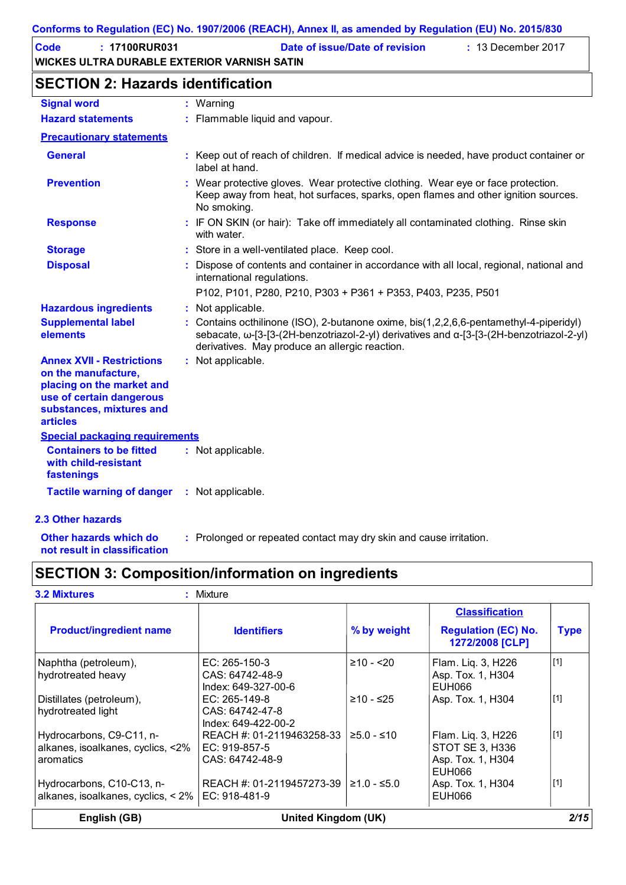| Code | $: 17100$ RUR031                            | Date of issue/Date of revision | $: 13$ December 2017 |
|------|---------------------------------------------|--------------------------------|----------------------|
|      | WICKES ULTRA DURABLE EXTERIOR VARNISH SATIN |                                |                      |

### **SECTION 2: Hazards identification**

| <b>Signal word</b>                                                                                                                                              | : Warning                                                                                                                                                                                                                           |
|-----------------------------------------------------------------------------------------------------------------------------------------------------------------|-------------------------------------------------------------------------------------------------------------------------------------------------------------------------------------------------------------------------------------|
| <b>Hazard statements</b>                                                                                                                                        | : Flammable liquid and vapour.                                                                                                                                                                                                      |
| <b>Precautionary statements</b>                                                                                                                                 |                                                                                                                                                                                                                                     |
| <b>General</b>                                                                                                                                                  | : Keep out of reach of children. If medical advice is needed, have product container or<br>label at hand.                                                                                                                           |
| <b>Prevention</b>                                                                                                                                               | : Wear protective gloves. Wear protective clothing. Wear eye or face protection.<br>Keep away from heat, hot surfaces, sparks, open flames and other ignition sources.<br>No smoking.                                               |
| <b>Response</b>                                                                                                                                                 | : IF ON SKIN (or hair): Take off immediately all contaminated clothing. Rinse skin<br>with water.                                                                                                                                   |
| <b>Storage</b>                                                                                                                                                  | : Store in a well-ventilated place. Keep cool.                                                                                                                                                                                      |
| <b>Disposal</b>                                                                                                                                                 | : Dispose of contents and container in accordance with all local, regional, national and<br>international regulations.                                                                                                              |
|                                                                                                                                                                 | P102, P101, P280, P210, P303 + P361 + P353, P403, P235, P501                                                                                                                                                                        |
| <b>Hazardous ingredients</b>                                                                                                                                    | : Not applicable.                                                                                                                                                                                                                   |
| <b>Supplemental label</b><br>elements                                                                                                                           | : Contains octhilinone (ISO), 2-butanone oxime, bis(1,2,2,6,6-pentamethyl-4-piperidyl)<br>sebacate, ω-[3-[3-(2H-benzotriazol-2-yl) derivatives and α-[3-[3-(2H-benzotriazol-2-yl)<br>derivatives. May produce an allergic reaction. |
| <b>Annex XVII - Restrictions</b><br>on the manufacture,<br>placing on the market and<br>use of certain dangerous<br>substances, mixtures and<br><b>articles</b> | : Not applicable.                                                                                                                                                                                                                   |
| <b>Special packaging requirements</b>                                                                                                                           |                                                                                                                                                                                                                                     |
| <b>Containers to be fitted</b><br>with child-resistant<br>fastenings                                                                                            | : Not applicable.                                                                                                                                                                                                                   |
| <b>Tactile warning of danger</b>                                                                                                                                | : Not applicable.                                                                                                                                                                                                                   |
| 2.3 Other hazards                                                                                                                                               |                                                                                                                                                                                                                                     |
| Other hazards which do                                                                                                                                          | : Prolonged or repeated contact may dry skin and cause irritation.                                                                                                                                                                  |

- 
- : Prolonged or repeated contact may dry skin and cause irritation.
- **not result in classification**
- 

### **SECTION 3: Composition/information on ingredients**

| <b>3.2 Mixtures</b>                                                               | : Mixture                                                       |               | <b>Classification</b>                                                |             |
|-----------------------------------------------------------------------------------|-----------------------------------------------------------------|---------------|----------------------------------------------------------------------|-------------|
| <b>Product/ingredient name</b>                                                    | <b>Identifiers</b>                                              | % by weight   | <b>Regulation (EC) No.</b><br>1272/2008 [CLP]                        | <b>Type</b> |
| Naphtha (petroleum),<br>hydrotreated heavy                                        | EC: $265-150-3$<br>CAS: 64742-48-9<br>Index: 649-327-00-6       | $≥10 - 20$    | Flam. Liq. 3, H226<br>Asp. Tox. 1, H304<br>EUH066                    | $[1]$       |
| Distillates (petroleum),<br>hydrotreated light                                    | EC: $265-149-8$<br>CAS: 64742-47-8<br>Index: 649-422-00-2       | $≥10 - ≤25$   | Asp. Tox. 1, H304                                                    | $[1]$       |
| Hydrocarbons, C9-C11, n-<br>alkanes, isoalkanes, cyclics, <2%<br>aromatics        | REACH #: 01-2119463258-33<br>I EC: 919-857-5<br>CAS: 64742-48-9 | $≥5.0 - ≤10$  | Flam. Liq. 3, H226<br>STOT SE 3, H336<br>Asp. Tox. 1, H304<br>EUH066 | $[1]$       |
| Hydrocarbons, C10-C13, n-<br>alkanes, isoalkanes, cyclics, $<$ 2%   EC: 918-481-9 | REACH #: 01-2119457273-39                                       | $≥1.0 - ≤5.0$ | Asp. Tox. 1, H304<br>EUH066                                          | $[1]$       |
| English (GB)                                                                      | <b>United Kingdom (UK)</b>                                      |               |                                                                      | 2/15        |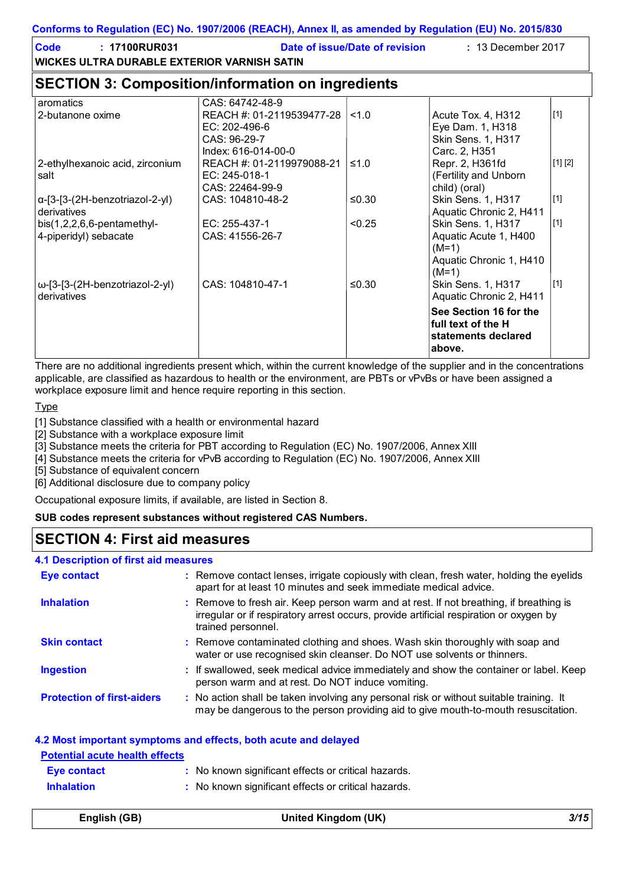| <b>Code</b><br>: 17100RUR031<br><b>WICKES ULTRA DURABLE EXTERIOR VARNISH SATIN</b> |                                                                                                      | Date of issue/Date of revision | : 13 December 2017                                                                                                             |             |
|------------------------------------------------------------------------------------|------------------------------------------------------------------------------------------------------|--------------------------------|--------------------------------------------------------------------------------------------------------------------------------|-------------|
| <b>SECTION 3: Composition/information on ingredients</b>                           |                                                                                                      |                                |                                                                                                                                |             |
| aromatics<br>2-butanone oxime                                                      | CAS: 64742-48-9<br>REACH #: 01-2119539477-28<br>EC: 202-496-6<br>CAS: 96-29-7<br>Index: 616-014-00-0 | <1.0                           | Acute Tox. 4, H312<br>Eye Dam. 1, H318<br>Skin Sens. 1, H317<br>Carc. 2, H351                                                  | $[1]$       |
| 2-ethylhexanoic acid, zirconium<br>salt                                            | REACH #: 01-2119979088-21<br>EC: $245-018-1$<br>CAS: 22464-99-9                                      | $≤1.0$                         | Repr. 2, H361fd<br>(Fertility and Unborn<br>child) (oral)                                                                      | [1] [2]     |
| α-[3-[3-(2H-benzotriazol-2-yl)<br>derivatives                                      | CAS: 104810-48-2                                                                                     | $≤0.30$                        | Skin Sens. 1, H317<br>Aquatic Chronic 2, H411                                                                                  | $\vert$ [1] |
| $bis(1,2,2,6,6-pentament)$<br>4-piperidyl) sebacate                                | EC: 255-437-1<br>CAS: 41556-26-7                                                                     | < 0.25                         | Skin Sens. 1, H317<br>Aquatic Acute 1, H400<br>$(M=1)$<br>Aquatic Chronic 1, H410<br>$(M=1)$                                   | $\vert$ [1] |
| ω-[3-[3-(2H-benzotriazol-2-yl)<br>derivatives                                      | CAS: 104810-47-1                                                                                     | $≤0.30$                        | Skin Sens. 1, H317<br>Aquatic Chronic 2, H411<br>See Section 16 for the<br>full text of the H<br>statements declared<br>above. | $\vert$ [1] |

There are no additional ingredients present which, within the current knowledge of the supplier and in the concentrations applicable, are classified as hazardous to health or the environment, are PBTs or vPvBs or have been assigned a workplace exposure limit and hence require reporting in this section.

**Type** 

[1] Substance classified with a health or environmental hazard

[2] Substance with a workplace exposure limit

[3] Substance meets the criteria for PBT according to Regulation (EC) No. 1907/2006, Annex XIII

[4] Substance meets the criteria for vPvB according to Regulation (EC) No. 1907/2006, Annex XIII

[5] Substance of equivalent concern

[6] Additional disclosure due to company policy

Occupational exposure limits, if available, are listed in Section 8.

#### **SUB codes represent substances without registered CAS Numbers.**

### **SECTION 4: First aid measures**

#### **4.1 Description of first aid measures**

| Eye contact                       | : Remove contact lenses, irrigate copiously with clean, fresh water, holding the eyelids<br>apart for at least 10 minutes and seek immediate medical advice.                                           |
|-----------------------------------|--------------------------------------------------------------------------------------------------------------------------------------------------------------------------------------------------------|
| <b>Inhalation</b>                 | : Remove to fresh air. Keep person warm and at rest. If not breathing, if breathing is<br>irregular or if respiratory arrest occurs, provide artificial respiration or oxygen by<br>trained personnel. |
| <b>Skin contact</b>               | : Remove contaminated clothing and shoes. Wash skin thoroughly with soap and<br>water or use recognised skin cleanser. Do NOT use solvents or thinners.                                                |
| <b>Ingestion</b>                  | : If swallowed, seek medical advice immediately and show the container or label. Keep<br>person warm and at rest. Do NOT induce vomiting.                                                              |
| <b>Protection of first-aiders</b> | : No action shall be taken involving any personal risk or without suitable training. It<br>may be dangerous to the person providing aid to give mouth-to-mouth resuscitation.                          |

#### **4.2 Most important symptoms and effects, both acute and delayed**

| <b>Potential acute health effects</b> |                                                     |
|---------------------------------------|-----------------------------------------------------|
| Eye contact                           | : No known significant effects or critical hazards. |
| <b>Inhalation</b>                     | : No known significant effects or critical hazards. |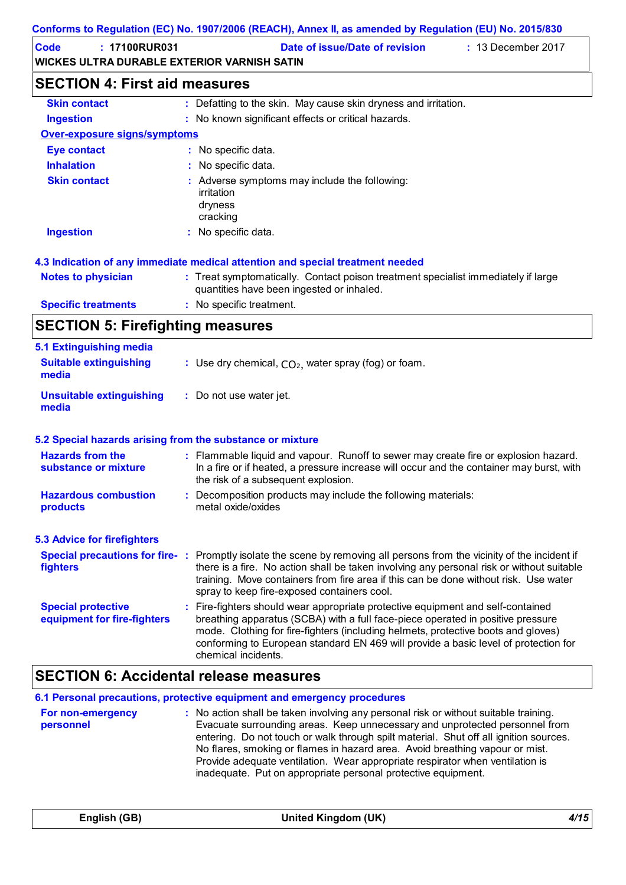| Code | : 17100RUR031                               | Date of issue/Date of revision | $\div$ 13 December 2017 |
|------|---------------------------------------------|--------------------------------|-------------------------|
|      | WICKES ULTRA DURABLE EXTERIOR VARNISH SATIN |                                |                         |

## **SECTION 4: First aid measures**

| <b>Skin contact</b>                 | : Defatting to the skin. May cause skin dryness and irritation.                                                                |
|-------------------------------------|--------------------------------------------------------------------------------------------------------------------------------|
| <b>Ingestion</b>                    | : No known significant effects or critical hazards.                                                                            |
| <b>Over-exposure signs/symptoms</b> |                                                                                                                                |
| <b>Eye contact</b>                  | : No specific data.                                                                                                            |
| <b>Inhalation</b>                   | : No specific data.                                                                                                            |
| <b>Skin contact</b>                 | : Adverse symptoms may include the following:<br>irritation<br>dryness<br>cracking                                             |
| <b>Ingestion</b>                    | : No specific data.                                                                                                            |
|                                     | 4.3 Indication of any immediate medical attention and special treatment needed                                                 |
| <b>Notes to physician</b>           | : Treat symptomatically. Contact poison treatment specialist immediately if large<br>quantities have been ingested or inhaled. |

- **Specific treatments :** No specific treatment.
- **SECTION 5: Firefighting measures**

| 5.1 Extinguishing media                                   |                                                                                                                                                                                                                                                                                                                                                                     |
|-----------------------------------------------------------|---------------------------------------------------------------------------------------------------------------------------------------------------------------------------------------------------------------------------------------------------------------------------------------------------------------------------------------------------------------------|
| <b>Suitable extinguishing</b><br>media                    | : Use dry chemical, $CO2$ , water spray (fog) or foam.                                                                                                                                                                                                                                                                                                              |
| <b>Unsuitable extinguishing</b><br>media                  | : Do not use water jet.                                                                                                                                                                                                                                                                                                                                             |
| 5.2 Special hazards arising from the substance or mixture |                                                                                                                                                                                                                                                                                                                                                                     |
| <b>Hazards from the</b><br>substance or mixture           | : Flammable liquid and vapour. Runoff to sewer may create fire or explosion hazard.<br>In a fire or if heated, a pressure increase will occur and the container may burst, with<br>the risk of a subsequent explosion.                                                                                                                                              |
| <b>Hazardous combustion</b><br>products                   | Decomposition products may include the following materials:<br>metal oxide/oxides                                                                                                                                                                                                                                                                                   |
| <b>5.3 Advice for firefighters</b>                        |                                                                                                                                                                                                                                                                                                                                                                     |
| fighters                                                  | Special precautions for fire-: Promptly isolate the scene by removing all persons from the vicinity of the incident if<br>there is a fire. No action shall be taken involving any personal risk or without suitable<br>training. Move containers from fire area if this can be done without risk. Use water<br>spray to keep fire-exposed containers cool.          |
| <b>Special protective</b><br>equipment for fire-fighters  | Fire-fighters should wear appropriate protective equipment and self-contained<br>breathing apparatus (SCBA) with a full face-piece operated in positive pressure<br>mode. Clothing for fire-fighters (including helmets, protective boots and gloves)<br>conforming to European standard EN 469 will provide a basic level of protection for<br>chemical incidents. |

### **SECTION 6: Accidental release measures**

|                                | 6.1 Personal precautions, protective equipment and emergency procedures                                                                                                                                                                                                                                                                                                                                                                                                                        |
|--------------------------------|------------------------------------------------------------------------------------------------------------------------------------------------------------------------------------------------------------------------------------------------------------------------------------------------------------------------------------------------------------------------------------------------------------------------------------------------------------------------------------------------|
| For non-emergency<br>personnel | : No action shall be taken involving any personal risk or without suitable training.<br>Evacuate surrounding areas. Keep unnecessary and unprotected personnel from<br>entering. Do not touch or walk through spilt material. Shut off all ignition sources.<br>No flares, smoking or flames in hazard area. Avoid breathing vapour or mist.<br>Provide adequate ventilation. Wear appropriate respirator when ventilation is<br>inadequate. Put on appropriate personal protective equipment. |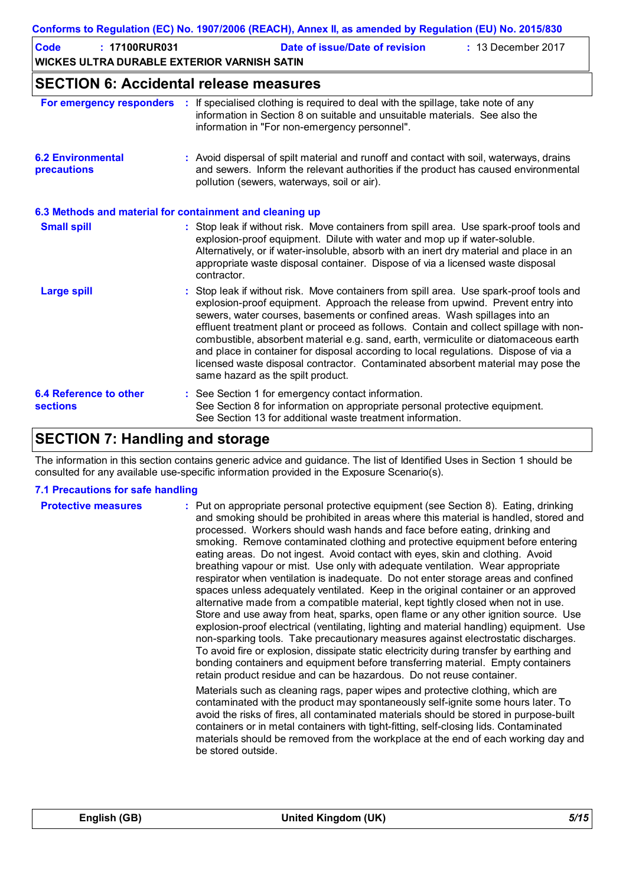| Code | : 17100RUR031                               | Date of issue/Date of revision | $: 13$ December 2017 |
|------|---------------------------------------------|--------------------------------|----------------------|
|      | WICKES ULTRA DURABLE EXTERIOR VARNISH SATIN |                                |                      |
|      |                                             |                                |                      |

### **SECTION 6: Accidental release measures**

| For emergency responders                                 | If specialised clothing is required to deal with the spillage, take note of any<br>information in Section 8 on suitable and unsuitable materials. See also the<br>information in "For non-emergency personnel".                                                                                                                                                                                                                                                                                                                                                                                                                                            |
|----------------------------------------------------------|------------------------------------------------------------------------------------------------------------------------------------------------------------------------------------------------------------------------------------------------------------------------------------------------------------------------------------------------------------------------------------------------------------------------------------------------------------------------------------------------------------------------------------------------------------------------------------------------------------------------------------------------------------|
| <b>6.2 Environmental</b><br>precautions                  | : Avoid dispersal of spilt material and runoff and contact with soil, waterways, drains<br>and sewers. Inform the relevant authorities if the product has caused environmental<br>pollution (sewers, waterways, soil or air).                                                                                                                                                                                                                                                                                                                                                                                                                              |
| 6.3 Methods and material for containment and cleaning up |                                                                                                                                                                                                                                                                                                                                                                                                                                                                                                                                                                                                                                                            |
| <b>Small spill</b>                                       | : Stop leak if without risk. Move containers from spill area. Use spark-proof tools and<br>explosion-proof equipment. Dilute with water and mop up if water-soluble.<br>Alternatively, or if water-insoluble, absorb with an inert dry material and place in an<br>appropriate waste disposal container. Dispose of via a licensed waste disposal<br>contractor.                                                                                                                                                                                                                                                                                           |
| <b>Large spill</b>                                       | : Stop leak if without risk. Move containers from spill area. Use spark-proof tools and<br>explosion-proof equipment. Approach the release from upwind. Prevent entry into<br>sewers, water courses, basements or confined areas. Wash spillages into an<br>effluent treatment plant or proceed as follows. Contain and collect spillage with non-<br>combustible, absorbent material e.g. sand, earth, vermiculite or diatomaceous earth<br>and place in container for disposal according to local regulations. Dispose of via a<br>licensed waste disposal contractor. Contaminated absorbent material may pose the<br>same hazard as the spilt product. |
| <b>6.4 Reference to other</b><br><b>sections</b>         | : See Section 1 for emergency contact information.<br>See Section 8 for information on appropriate personal protective equipment.<br>See Section 13 for additional waste treatment information.                                                                                                                                                                                                                                                                                                                                                                                                                                                            |

### **SECTION 7: Handling and storage**

The information in this section contains generic advice and guidance. The list of Identified Uses in Section 1 should be consulted for any available use-specific information provided in the Exposure Scenario(s).

### **7.1 Precautions for safe handling**

| <b>Protective measures</b> | : Put on appropriate personal protective equipment (see Section 8). Eating, drinking<br>and smoking should be prohibited in areas where this material is handled, stored and<br>processed. Workers should wash hands and face before eating, drinking and<br>smoking. Remove contaminated clothing and protective equipment before entering<br>eating areas. Do not ingest. Avoid contact with eyes, skin and clothing. Avoid<br>breathing vapour or mist. Use only with adequate ventilation. Wear appropriate<br>respirator when ventilation is inadequate. Do not enter storage areas and confined<br>spaces unless adequately ventilated. Keep in the original container or an approved<br>alternative made from a compatible material, kept tightly closed when not in use.<br>Store and use away from heat, sparks, open flame or any other ignition source. Use<br>explosion-proof electrical (ventilating, lighting and material handling) equipment. Use<br>non-sparking tools. Take precautionary measures against electrostatic discharges.<br>To avoid fire or explosion, dissipate static electricity during transfer by earthing and<br>bonding containers and equipment before transferring material. Empty containers<br>retain product residue and can be hazardous. Do not reuse container. |
|----------------------------|---------------------------------------------------------------------------------------------------------------------------------------------------------------------------------------------------------------------------------------------------------------------------------------------------------------------------------------------------------------------------------------------------------------------------------------------------------------------------------------------------------------------------------------------------------------------------------------------------------------------------------------------------------------------------------------------------------------------------------------------------------------------------------------------------------------------------------------------------------------------------------------------------------------------------------------------------------------------------------------------------------------------------------------------------------------------------------------------------------------------------------------------------------------------------------------------------------------------------------------------------------------------------------------------------------------|
|                            | Materials such as cleaning rags, paper wipes and protective clothing, which are<br>contaminated with the product may spontaneously self-ignite some hours later. To<br>avoid the risks of fires, all contaminated materials should be stored in purpose-built<br>containers or in metal containers with tight-fitting, self-closing lids. Contaminated<br>materials should be removed from the workplace at the end of each working day and<br>be stored outside.                                                                                                                                                                                                                                                                                                                                                                                                                                                                                                                                                                                                                                                                                                                                                                                                                                             |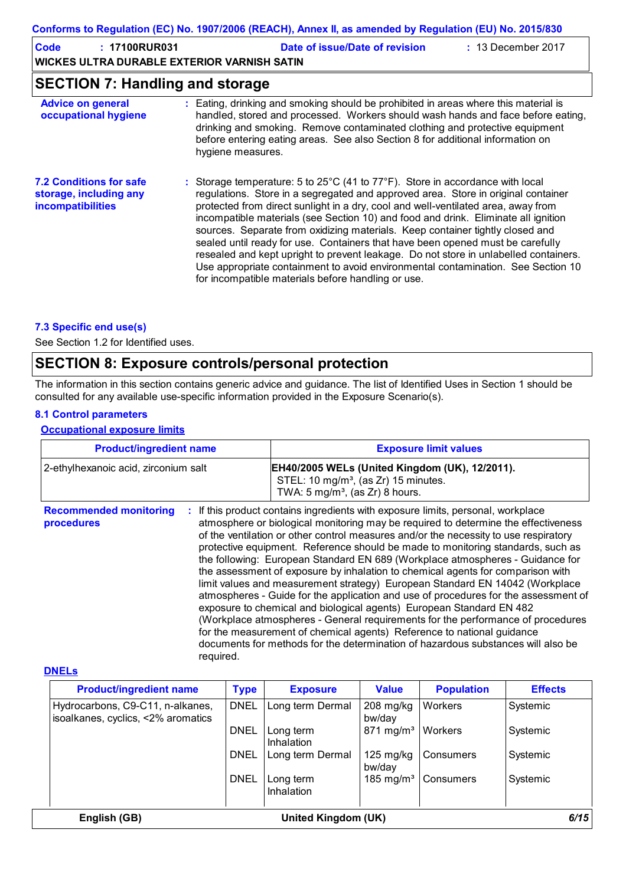| Code | : 17100RUR031                               | Date of issue/Date of revision | $: 13$ December 2017 |
|------|---------------------------------------------|--------------------------------|----------------------|
|      | WICKES ULTRA DURABLE EXTERIOR VARNISH SATIN |                                |                      |

### **SECTION 7: Handling and storage**

| <b>Advice on general</b><br>occupational hygiene                              | : Eating, drinking and smoking should be prohibited in areas where this material is<br>handled, stored and processed. Workers should wash hands and face before eating,<br>drinking and smoking. Remove contaminated clothing and protective equipment<br>before entering eating areas. See also Section 8 for additional information on<br>hygiene measures.                                                                                                                                                                                                                                                                                                                                                                                                            |
|-------------------------------------------------------------------------------|--------------------------------------------------------------------------------------------------------------------------------------------------------------------------------------------------------------------------------------------------------------------------------------------------------------------------------------------------------------------------------------------------------------------------------------------------------------------------------------------------------------------------------------------------------------------------------------------------------------------------------------------------------------------------------------------------------------------------------------------------------------------------|
| <b>7.2 Conditions for safe</b><br>storage, including any<br>incompatibilities | : Storage temperature: 5 to 25 $^{\circ}$ C (41 to 77 $^{\circ}$ F). Store in accordance with local<br>regulations. Store in a segregated and approved area. Store in original container<br>protected from direct sunlight in a dry, cool and well-ventilated area, away from<br>incompatible materials (see Section 10) and food and drink. Eliminate all ignition<br>sources. Separate from oxidizing materials. Keep container tightly closed and<br>sealed until ready for use. Containers that have been opened must be carefully<br>resealed and kept upright to prevent leakage. Do not store in unlabelled containers.<br>Use appropriate containment to avoid environmental contamination. See Section 10<br>for incompatible materials before handling or use. |

### **7.3 Specific end use(s)**

See Section 1.2 for Identified uses.

### **SECTION 8: Exposure controls/personal protection**

The information in this section contains generic advice and guidance. The list of Identified Uses in Section 1 should be consulted for any available use-specific information provided in the Exposure Scenario(s).

### **8.1 Control parameters**

### **Occupational exposure limits**

| <b>Product/ingredient name</b>                                 | <b>Exposure limit values</b>                                                                                                                                                                                                                                                                                                                                                                                                                                                                                                                                                                                                                                                                                                                                                                                                                                                                                                                                                                                        |  |
|----------------------------------------------------------------|---------------------------------------------------------------------------------------------------------------------------------------------------------------------------------------------------------------------------------------------------------------------------------------------------------------------------------------------------------------------------------------------------------------------------------------------------------------------------------------------------------------------------------------------------------------------------------------------------------------------------------------------------------------------------------------------------------------------------------------------------------------------------------------------------------------------------------------------------------------------------------------------------------------------------------------------------------------------------------------------------------------------|--|
| 2-ethylhexanoic acid, zirconium salt                           | EH40/2005 WELs (United Kingdom (UK), 12/2011).<br>STEL: 10 mg/m <sup>3</sup> , (as Zr) 15 minutes.<br>TWA: $5 \text{ mg/m}^3$ , (as Zr) 8 hours.                                                                                                                                                                                                                                                                                                                                                                                                                                                                                                                                                                                                                                                                                                                                                                                                                                                                    |  |
| <b>Recommended monitoring</b><br>÷.<br>procedures<br>required. | If this product contains ingredients with exposure limits, personal, workplace<br>atmosphere or biological monitoring may be required to determine the effectiveness<br>of the ventilation or other control measures and/or the necessity to use respiratory<br>protective equipment. Reference should be made to monitoring standards, such as<br>the following: European Standard EN 689 (Workplace atmospheres - Guidance for<br>the assessment of exposure by inhalation to chemical agents for comparison with<br>limit values and measurement strategy) European Standard EN 14042 (Workplace<br>atmospheres - Guide for the application and use of procedures for the assessment of<br>exposure to chemical and biological agents) European Standard EN 482<br>(Workplace atmospheres - General requirements for the performance of procedures<br>for the measurement of chemical agents) Reference to national guidance<br>documents for methods for the determination of hazardous substances will also be |  |

#### **DNELs**

| <b>Product/ingredient name</b>                                         | <b>Type</b> | <b>Exposure</b>                | <b>Value</b>                  | <b>Population</b> | <b>Effects</b> |
|------------------------------------------------------------------------|-------------|--------------------------------|-------------------------------|-------------------|----------------|
| Hydrocarbons, C9-C11, n-alkanes,<br>isoalkanes, cyclics, <2% aromatics | <b>DNEL</b> | Long term Dermal               | $208$ mg/kg<br>bw/day         | Workers           | Systemic       |
|                                                                        | <b>DNEL</b> | Long term<br><b>Inhalation</b> | $871 \text{ mg/m}^3$          | Workers           | Systemic       |
|                                                                        | <b>DNEL</b> | Long term Dermal               | $125 \text{ mg/kg}$<br>bw/day | Consumers         | Systemic       |
|                                                                        | <b>DNEL</b> | Long term<br>Inhalation        | 185 mg/m <sup>3</sup>         | Consumers         | Systemic       |
| English (GB)                                                           |             | United Kingdom (UK)            |                               |                   | 6/15           |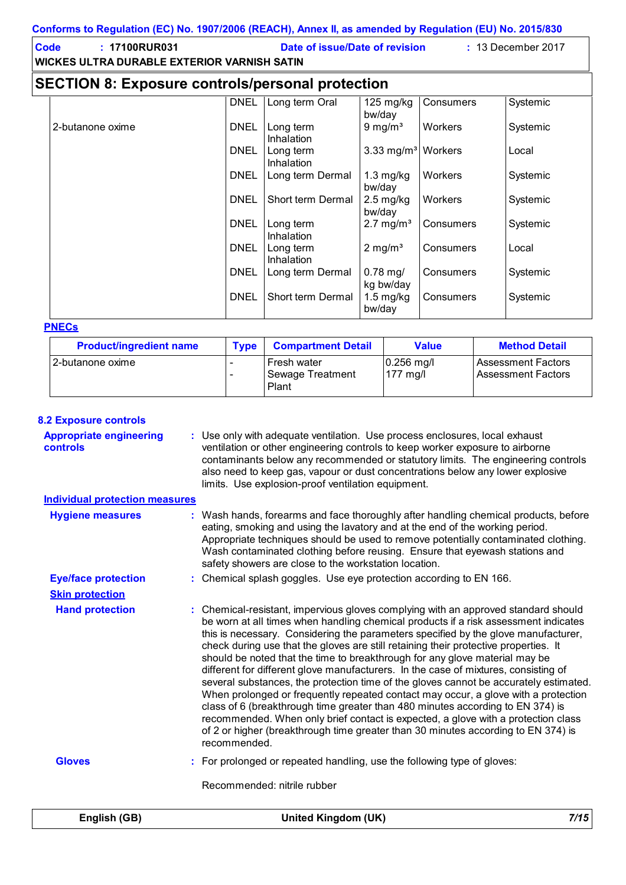| <u>00111011115 W Reyulation (LO) NO. 190772000 (REAGH), Alliica il, as amenucu by Reyulation (LO) NO. 2019/090</u> |             |                                                      |                                  |           |          |  |
|--------------------------------------------------------------------------------------------------------------------|-------------|------------------------------------------------------|----------------------------------|-----------|----------|--|
| : 17100RUR031<br><b>Code</b><br><b>WICKES ULTRA DURABLE EXTERIOR VARNISH SATIN</b>                                 |             | Date of issue/Date of revision<br>: 13 December 2017 |                                  |           |          |  |
| <b>SECTION 8: Exposure controls/personal protection</b>                                                            |             |                                                      |                                  |           |          |  |
|                                                                                                                    | <b>DNEL</b> | Long term Oral                                       | $125 \text{ mg/kg}$<br>bw/day    | Consumers | Systemic |  |
| 2-butanone oxime                                                                                                   | <b>DNEL</b> | Long term<br>Inhalation                              | $9 \text{ mg/m}^3$               | Workers   | Systemic |  |
|                                                                                                                    | DNEL        | Long term<br>Inhalation                              | 3.33 mg/m <sup>3</sup>   Workers |           | Local    |  |
|                                                                                                                    | <b>DNEL</b> | Long term Dermal                                     | $1.3 \text{ mg/kg}$<br>bw/day    | Workers   | Systemic |  |
|                                                                                                                    | <b>DNEL</b> | Short term Dermal                                    | $2.5 \text{ mg/kg}$<br>bw/day    | Workers   | Systemic |  |
|                                                                                                                    | <b>DNEL</b> | Long term<br><b>Inhalation</b>                       | $2.7 \text{ mg/m}^3$             | Consumers | Systemic |  |
|                                                                                                                    | <b>DNEL</b> | Long term<br>Inhalation                              | $2 \text{ mg/m}^3$               | Consumers | Local    |  |
|                                                                                                                    | DNEL        | Long term Dermal                                     | $0.78$ mg/<br>kg bw/day          | Consumers | Systemic |  |
|                                                                                                                    | <b>DNEL</b> | Short term Dermal                                    | $1.5$ mg/kg<br>bw/day            | Consumers | Systemic |  |

#### **PNECs**

| <b>Product/ingredient name</b> | <b>Type</b> | <b>Compartment Detail</b>                       | Value                             | <b>Method Detail</b>                            |
|--------------------------------|-------------|-------------------------------------------------|-----------------------------------|-------------------------------------------------|
| I 2-butanone oxime             |             | <b>Fresh water</b><br>Sewage Treatment<br>Plant | $0.256$ mg/l<br>$177 \text{ mgl}$ | Assessment Factors<br><b>Assessment Factors</b> |

### **8.2 Exposure controls**

**Appropriate engineering controls :** Use only with adequate ventilation. Use process enclosures, local exhaust ventilation or other engineering controls to keep worker exposure to airborne contaminants below any recommended or statutory limits. The engineering controls also need to keep gas, vapour or dust concentrations below any lower explosive limits. Use explosion-proof ventilation equipment.

### **Individual protection measures**

| <u>Hulviuual protection measures</u> |                                                                                                                                                                                                                                                                                                                                                                                                                                                                                                                                                                                                                                                                                                                                                                                                                                                                                                                                                                                          |
|--------------------------------------|------------------------------------------------------------------------------------------------------------------------------------------------------------------------------------------------------------------------------------------------------------------------------------------------------------------------------------------------------------------------------------------------------------------------------------------------------------------------------------------------------------------------------------------------------------------------------------------------------------------------------------------------------------------------------------------------------------------------------------------------------------------------------------------------------------------------------------------------------------------------------------------------------------------------------------------------------------------------------------------|
| <b>Hygiene measures</b>              | : Wash hands, forearms and face thoroughly after handling chemical products, before<br>eating, smoking and using the lavatory and at the end of the working period.<br>Appropriate techniques should be used to remove potentially contaminated clothing.<br>Wash contaminated clothing before reusing. Ensure that eyewash stations and<br>safety showers are close to the workstation location.                                                                                                                                                                                                                                                                                                                                                                                                                                                                                                                                                                                        |
| <b>Eye/face protection</b>           | : Chemical splash goggles. Use eye protection according to EN 166.                                                                                                                                                                                                                                                                                                                                                                                                                                                                                                                                                                                                                                                                                                                                                                                                                                                                                                                       |
| <b>Skin protection</b>               |                                                                                                                                                                                                                                                                                                                                                                                                                                                                                                                                                                                                                                                                                                                                                                                                                                                                                                                                                                                          |
| <b>Hand protection</b>               | : Chemical-resistant, impervious gloves complying with an approved standard should<br>be worn at all times when handling chemical products if a risk assessment indicates<br>this is necessary. Considering the parameters specified by the glove manufacturer,<br>check during use that the gloves are still retaining their protective properties. It<br>should be noted that the time to breakthrough for any glove material may be<br>different for different glove manufacturers. In the case of mixtures, consisting of<br>several substances, the protection time of the gloves cannot be accurately estimated.<br>When prolonged or frequently repeated contact may occur, a glove with a protection<br>class of 6 (breakthrough time greater than 480 minutes according to EN 374) is<br>recommended. When only brief contact is expected, a glove with a protection class<br>of 2 or higher (breakthrough time greater than 30 minutes according to EN 374) is<br>recommended. |
| <b>Gloves</b>                        | : For prolonged or repeated handling, use the following type of gloves:                                                                                                                                                                                                                                                                                                                                                                                                                                                                                                                                                                                                                                                                                                                                                                                                                                                                                                                  |
|                                      | Recommended: nitrile rubber                                                                                                                                                                                                                                                                                                                                                                                                                                                                                                                                                                                                                                                                                                                                                                                                                                                                                                                                                              |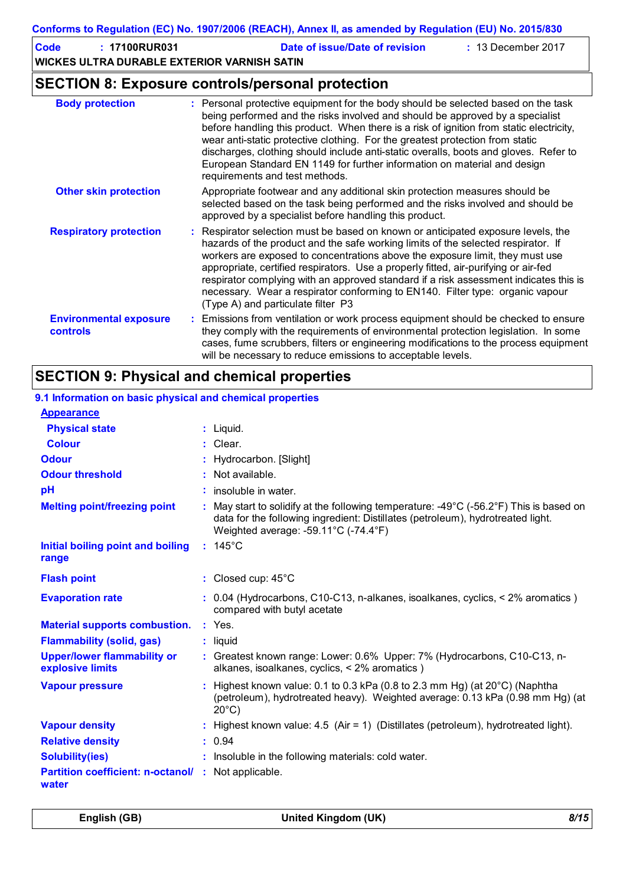| Code | $: 17100$ RUR031                            | Date of issue/Date of revision | $\div$ 13 December 2017 |
|------|---------------------------------------------|--------------------------------|-------------------------|
|      | WICKES ULTRA DURABLE EXTERIOR VARNISH SATIN |                                |                         |

### **SECTION 8: Exposure controls/personal protection**

| <b>Body protection</b>                           | : Personal protective equipment for the body should be selected based on the task<br>being performed and the risks involved and should be approved by a specialist<br>before handling this product. When there is a risk of ignition from static electricity,<br>wear anti-static protective clothing. For the greatest protection from static<br>discharges, clothing should include anti-static overalls, boots and gloves. Refer to<br>European Standard EN 1149 for further information on material and design<br>requirements and test methods.           |
|--------------------------------------------------|----------------------------------------------------------------------------------------------------------------------------------------------------------------------------------------------------------------------------------------------------------------------------------------------------------------------------------------------------------------------------------------------------------------------------------------------------------------------------------------------------------------------------------------------------------------|
| <b>Other skin protection</b>                     | Appropriate footwear and any additional skin protection measures should be<br>selected based on the task being performed and the risks involved and should be<br>approved by a specialist before handling this product.                                                                                                                                                                                                                                                                                                                                        |
| <b>Respiratory protection</b>                    | : Respirator selection must be based on known or anticipated exposure levels, the<br>hazards of the product and the safe working limits of the selected respirator. If<br>workers are exposed to concentrations above the exposure limit, they must use<br>appropriate, certified respirators. Use a properly fitted, air-purifying or air-fed<br>respirator complying with an approved standard if a risk assessment indicates this is<br>necessary. Wear a respirator conforming to EN140. Filter type: organic vapour<br>(Type A) and particulate filter P3 |
| <b>Environmental exposure</b><br><b>controls</b> | : Emissions from ventilation or work process equipment should be checked to ensure<br>they comply with the requirements of environmental protection legislation. In some<br>cases, fume scrubbers, filters or engineering modifications to the process equipment<br>will be necessary to reduce emissions to acceptable levels.                                                                                                                                                                                                                                |

### **SECTION 9: Physical and chemical properties**

| 9.1 Information on basic physical and chemical properties |                                                                                                                                                                                                                                        |
|-----------------------------------------------------------|----------------------------------------------------------------------------------------------------------------------------------------------------------------------------------------------------------------------------------------|
| <b>Appearance</b>                                         |                                                                                                                                                                                                                                        |
| <b>Physical state</b>                                     | $:$ Liquid.                                                                                                                                                                                                                            |
| <b>Colour</b>                                             | : Clear.                                                                                                                                                                                                                               |
| <b>Odour</b>                                              | Hydrocarbon. [Slight]                                                                                                                                                                                                                  |
| <b>Odour threshold</b>                                    | $:$ Not available.                                                                                                                                                                                                                     |
| pH                                                        | $:$ insoluble in water.                                                                                                                                                                                                                |
| <b>Melting point/freezing point</b>                       | : May start to solidify at the following temperature: $-49^{\circ}$ C ( $-56.2^{\circ}$ F) This is based on<br>data for the following ingredient: Distillates (petroleum), hydrotreated light.<br>Weighted average: -59.11°C (-74.4°F) |
| Initial boiling point and boiling<br>range                | $: 145^{\circ}$ C                                                                                                                                                                                                                      |
| <b>Flash point</b>                                        | : Closed cup: 45°C                                                                                                                                                                                                                     |
| <b>Evaporation rate</b>                                   | : 0.04 (Hydrocarbons, C10-C13, n-alkanes, isoalkanes, cyclics, < 2% aromatics)<br>compared with butyl acetate                                                                                                                          |
| <b>Material supports combustion.</b>                      | : Yes.                                                                                                                                                                                                                                 |
| <b>Flammability (solid, gas)</b>                          | $:$ liquid                                                                                                                                                                                                                             |
| <b>Upper/lower flammability or</b><br>explosive limits    | : Greatest known range: Lower: 0.6% Upper: 7% (Hydrocarbons, C10-C13, n-<br>alkanes, isoalkanes, cyclics, < 2% aromatics)                                                                                                              |
| <b>Vapour pressure</b>                                    | Highest known value: 0.1 to 0.3 kPa (0.8 to 2.3 mm Hg) (at 20°C) (Naphtha<br>(petroleum), hydrotreated heavy). Weighted average: 0.13 kPa (0.98 mm Hg) (at<br>$20^{\circ}$ C)                                                          |
| <b>Vapour density</b>                                     | : Highest known value: 4.5 (Air = 1) (Distillates (petroleum), hydrotreated light).                                                                                                                                                    |
| <b>Relative density</b>                                   | : 0.94                                                                                                                                                                                                                                 |
| <b>Solubility(ies)</b>                                    | : Insoluble in the following materials: cold water.                                                                                                                                                                                    |
| <b>Partition coefficient: n-octanol/</b><br>water         | : Not applicable.                                                                                                                                                                                                                      |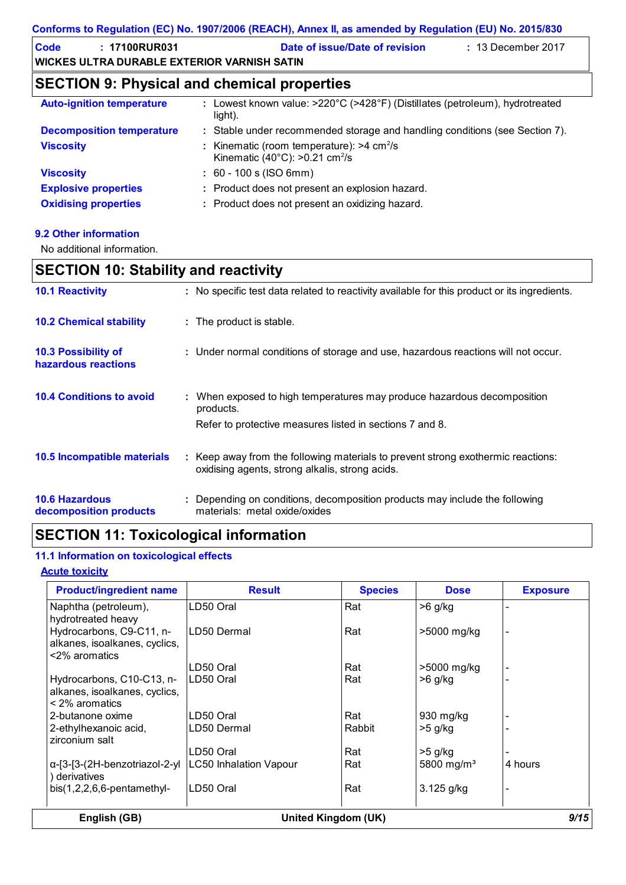| Code | $: 17100$ RUR031                            | Date of issue/Date of revision | $\div$ 13 December 2017 |
|------|---------------------------------------------|--------------------------------|-------------------------|
|      | WICKES ULTRA DURABLE EXTERIOR VARNISH SATIN |                                |                         |

### **SECTION 9: Physical and chemical properties**

| <b>Auto-ignition temperature</b> | : Lowest known value: >220°C (>428°F) (Distillates (petroleum), hydrotreated<br>light).                          |
|----------------------------------|------------------------------------------------------------------------------------------------------------------|
| <b>Decomposition temperature</b> | : Stable under recommended storage and handling conditions (see Section 7).                                      |
| <b>Viscosity</b>                 | : Kinematic (room temperature): $>4$ cm <sup>2</sup> /s<br>Kinematic (40 $^{\circ}$ C): >0.21 cm <sup>2</sup> /s |
| <b>Viscosity</b>                 | $: 60 - 100$ s (ISO 6mm)                                                                                         |
| <b>Explosive properties</b>      | : Product does not present an explosion hazard.                                                                  |
| <b>Oxidising properties</b>      | : Product does not present an oxidizing hazard.                                                                  |

### **9.2 Other information**

No additional information.

### **SECTION 10: Stability and reactivity**

| <b>10.1 Reactivity</b>                          | : No specific test data related to reactivity available for this product or its ingredients.                                                     |
|-------------------------------------------------|--------------------------------------------------------------------------------------------------------------------------------------------------|
| <b>10.2 Chemical stability</b>                  | : The product is stable.                                                                                                                         |
| 10.3 Possibility of<br>hazardous reactions      | : Under normal conditions of storage and use, hazardous reactions will not occur.                                                                |
| <b>10.4 Conditions to avoid</b>                 | : When exposed to high temperatures may produce hazardous decomposition<br>products.<br>Refer to protective measures listed in sections 7 and 8. |
| 10.5 Incompatible materials                     | : Keep away from the following materials to prevent strong exothermic reactions:<br>oxidising agents, strong alkalis, strong acids.              |
| <b>10.6 Hazardous</b><br>decomposition products | : Depending on conditions, decomposition products may include the following<br>materials: metal oxide/oxides                                     |

### **SECTION 11: Toxicological information**

### **11.1 Information on toxicological effects**

### **Acute toxicity**

| <b>Product/ingredient name</b>                                                    | <b>Result</b>                      | <b>Species</b> | <b>Dose</b>            | <b>Exposure</b>          |  |
|-----------------------------------------------------------------------------------|------------------------------------|----------------|------------------------|--------------------------|--|
| Naphtha (petroleum),<br>hydrotreated heavy                                        | LD50 Oral                          | Rat            | $>6$ g/kg              |                          |  |
| Hydrocarbons, C9-C11, n-<br>alkanes, isoalkanes, cyclics,<br><2% aromatics        | LD50 Dermal                        | Rat            | >5000 mg/kg            | $\overline{\phantom{a}}$ |  |
|                                                                                   | ∟D50 Oral                          | Rat            | >5000 mg/kg            |                          |  |
| Hydrocarbons, C10-C13, n-<br>alkanes, isoalkanes, cyclics,<br>$\leq$ 2% aromatics | LD50 Oral                          | Rat            | $>6$ g/kg              |                          |  |
| 2-butanone oxime                                                                  | LD50 Oral                          | Rat            | $930$ mg/kg            |                          |  |
| 2-ethylhexanoic acid,<br>zirconium salt                                           | LD50 Dermal                        | Rabbit         | $>5$ g/kg              |                          |  |
|                                                                                   | <sub>-</sub> D50 Oral              | Rat            | $>5$ g/kg              |                          |  |
| α-[3-[3-(2H-benzotriazol-2-yl<br>derivatives                                      | LC50 Inhalation Vapour             | Rat            | 5800 mg/m <sup>3</sup> | 4 hours                  |  |
| bis $(1,2,2,6,6$ -pentamethyl-                                                    | LD50 Oral                          | Rat            | $3.125$ g/kg           |                          |  |
| English (GB)                                                                      | 9/15<br><b>United Kingdom (UK)</b> |                |                        |                          |  |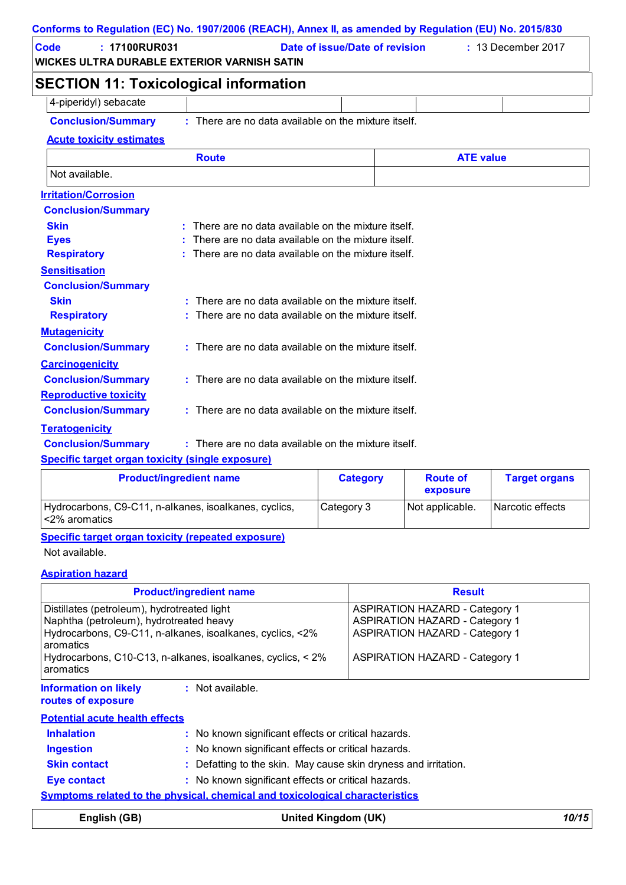| Conforms to Regulation (EC) No. 1907/2006 (REACH), Annex II, as amended by Regulation (EU) No. 2015/830 |              |                                                        |  |                    |  |
|---------------------------------------------------------------------------------------------------------|--------------|--------------------------------------------------------|--|--------------------|--|
| : 17100RUR031<br>Code<br>WICKES ULTRA DURABLE EXTERIOR VARNISH SATIN                                    |              | Date of issue/Date of revision                         |  | : 13 December 2017 |  |
| <b>SECTION 11: Toxicological information</b>                                                            |              |                                                        |  |                    |  |
| 4-piperidyl) sebacate                                                                                   |              |                                                        |  |                    |  |
| <b>Conclusion/Summary</b>                                                                               |              | : There are no data available on the mixture itself.   |  |                    |  |
| <b>Acute toxicity estimates</b>                                                                         |              |                                                        |  |                    |  |
|                                                                                                         | <b>Route</b> |                                                        |  | <b>ATE value</b>   |  |
| Not available.                                                                                          |              |                                                        |  |                    |  |
| <b>Irritation/Corrosion</b>                                                                             |              |                                                        |  |                    |  |
| <b>Conclusion/Summary</b>                                                                               |              |                                                        |  |                    |  |
| <b>Skin</b>                                                                                             |              | $:$ There are no data available on the mixture itself. |  |                    |  |
| <b>Eyes</b>                                                                                             |              | There are no data available on the mixture itself.     |  |                    |  |
| <b>Respiratory</b>                                                                                      |              | : There are no data available on the mixture itself.   |  |                    |  |
| <b>Sensitisation</b>                                                                                    |              |                                                        |  |                    |  |
| <b>Conclusion/Summary</b>                                                                               |              |                                                        |  |                    |  |
| <b>Skin</b>                                                                                             |              | : There are no data available on the mixture itself.   |  |                    |  |
| <b>Respiratory</b>                                                                                      |              | There are no data available on the mixture itself.     |  |                    |  |
| <b>Mutagenicity</b>                                                                                     |              |                                                        |  |                    |  |
| <b>Conclusion/Summary</b>                                                                               |              | : There are no data available on the mixture itself.   |  |                    |  |
| <b>Carcinogenicity</b>                                                                                  |              |                                                        |  |                    |  |
| <b>Conclusion/Summary</b>                                                                               |              | : There are no data available on the mixture itself.   |  |                    |  |
| <b>Reproductive toxicity</b>                                                                            |              |                                                        |  |                    |  |
| <b>Conclusion/Summary</b>                                                                               |              | : There are no data available on the mixture itself.   |  |                    |  |
| <b>Teratogenicity</b>                                                                                   |              |                                                        |  |                    |  |
| <b>Conclusion/Summary</b>                                                                               |              | : There are no data available on the mixture itself.   |  |                    |  |
| <b>Specific target organ toxicity (single exposure)</b>                                                 |              |                                                        |  |                    |  |

| <b>Product/ingredient name</b>                                           | <b>Category</b> | <b>Route of</b><br>exposure | <b>Target organs</b> |
|--------------------------------------------------------------------------|-----------------|-----------------------------|----------------------|
| Hydrocarbons, C9-C11, n-alkanes, isoalkanes, cyclics,<br>l <2% aromatics | Category 3      | Not applicable.             | Narcotic effects     |

**Specific target organ toxicity (repeated exposure)**

Not available.

### **Aspiration hazard**

| <b>Product/ingredient name</b>                                                                                   |                                                                                                                          | <b>Result</b>                                                                                                                                                    |          |
|------------------------------------------------------------------------------------------------------------------|--------------------------------------------------------------------------------------------------------------------------|------------------------------------------------------------------------------------------------------------------------------------------------------------------|----------|
| Distillates (petroleum), hydrotreated light<br>Naphtha (petroleum), hydrotreated heavy<br>aromatics<br>aromatics | Hydrocarbons, C9-C11, n-alkanes, isoalkanes, cyclics, <2%<br>Hydrocarbons, C10-C13, n-alkanes, isoalkanes, cyclics, < 2% | <b>ASPIRATION HAZARD - Category 1</b><br><b>ASPIRATION HAZARD - Category 1</b><br><b>ASPIRATION HAZARD - Category 1</b><br><b>ASPIRATION HAZARD - Category 1</b> |          |
| <b>Information on likely</b><br>routes of exposure                                                               | $:$ Not available.                                                                                                       |                                                                                                                                                                  |          |
| <b>Potential acute health effects</b>                                                                            |                                                                                                                          |                                                                                                                                                                  |          |
| <b>Inhalation</b>                                                                                                | : No known significant effects or critical hazards.                                                                      |                                                                                                                                                                  |          |
| <b>Ingestion</b>                                                                                                 | : No known significant effects or critical hazards.                                                                      |                                                                                                                                                                  |          |
| <b>Skin contact</b>                                                                                              | : Defatting to the skin. May cause skin dryness and irritation.                                                          |                                                                                                                                                                  |          |
| <b>Eye contact</b>                                                                                               | : No known significant effects or critical hazards.                                                                      |                                                                                                                                                                  |          |
|                                                                                                                  | <b>Symptoms related to the physical, chemical and toxicological characteristics</b>                                      |                                                                                                                                                                  |          |
|                                                                                                                  |                                                                                                                          |                                                                                                                                                                  | 4 A 14 F |

| English (GB) | <b>United Kingdom (UK)</b> | 10/15 |
|--------------|----------------------------|-------|
|              |                            |       |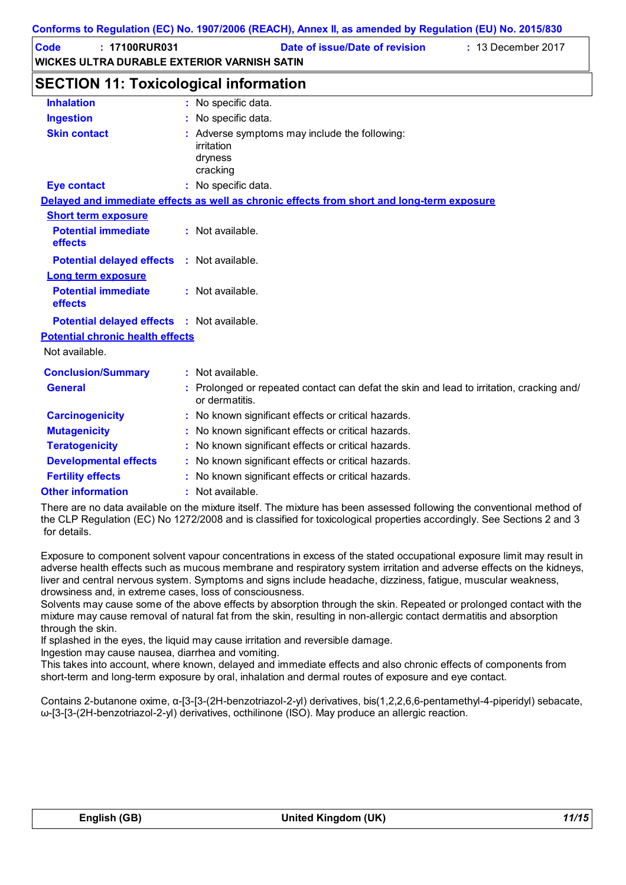| Code | $: 17100$ RUR031                            | Date of issue/Date of revision | $: 13$ December 2017 |
|------|---------------------------------------------|--------------------------------|----------------------|
|      | WICKES ULTRA DURABLE EXTERIOR VARNISH SATIN |                                |                      |

### **SECTION 11: Toxicological information**

| <b>Inhalation</b>                                 | : No specific data.                                                                                        |
|---------------------------------------------------|------------------------------------------------------------------------------------------------------------|
| <b>Ingestion</b>                                  | : No specific data.                                                                                        |
| <b>Skin contact</b>                               | : Adverse symptoms may include the following:<br>irritation<br>dryness<br>cracking                         |
| <b>Eye contact</b>                                | : No specific data.                                                                                        |
|                                                   | Delayed and immediate effects as well as chronic effects from short and long-term exposure                 |
| <b>Short term exposure</b>                        |                                                                                                            |
| <b>Potential immediate</b><br>effects             | : Not available.                                                                                           |
| <b>Potential delayed effects : Not available.</b> |                                                                                                            |
| <b>Long term exposure</b>                         |                                                                                                            |
| <b>Potential immediate</b><br>effects             | : Not available.                                                                                           |
| <b>Potential delayed effects : Not available.</b> |                                                                                                            |
| <b>Potential chronic health effects</b>           |                                                                                                            |
| Not available.                                    |                                                                                                            |
| <b>Conclusion/Summary</b>                         | : Not available.                                                                                           |
| <b>General</b>                                    | : Prolonged or repeated contact can defat the skin and lead to irritation, cracking and/<br>or dermatitis. |
| <b>Carcinogenicity</b>                            | : No known significant effects or critical hazards.                                                        |
| <b>Mutagenicity</b>                               | : No known significant effects or critical hazards.                                                        |
| <b>Teratogenicity</b>                             | : No known significant effects or critical hazards.                                                        |
| <b>Developmental effects</b>                      | : No known significant effects or critical hazards.                                                        |
| <b>Fertility effects</b>                          | : No known significant effects or critical hazards.                                                        |
| <b>Other information</b>                          | : Not available.                                                                                           |

There are no data available on the mixture itself. The mixture has been assessed following the conventional method of the CLP Regulation (EC) No 1272/2008 and is classified for toxicological properties accordingly. See Sections 2 and 3 for details.

Exposure to component solvent vapour concentrations in excess of the stated occupational exposure limit may result in adverse health effects such as mucous membrane and respiratory system irritation and adverse effects on the kidneys, liver and central nervous system. Symptoms and signs include headache, dizziness, fatigue, muscular weakness, drowsiness and, in extreme cases, loss of consciousness.

Solvents may cause some of the above effects by absorption through the skin. Repeated or prolonged contact with the mixture may cause removal of natural fat from the skin, resulting in non-allergic contact dermatitis and absorption through the skin.

If splashed in the eyes, the liquid may cause irritation and reversible damage.

Ingestion may cause nausea, diarrhea and vomiting.

This takes into account, where known, delayed and immediate effects and also chronic effects of components from short-term and long-term exposure by oral, inhalation and dermal routes of exposure and eye contact.

Contains 2-butanone oxime, α-[3-[3-(2H-benzotriazol-2-yl) derivatives, bis(1,2,2,6,6-pentamethyl-4-piperidyl) sebacate, ω-[3-[3-(2H-benzotriazol-2-yl) derivatives, octhilinone (ISO). May produce an allergic reaction.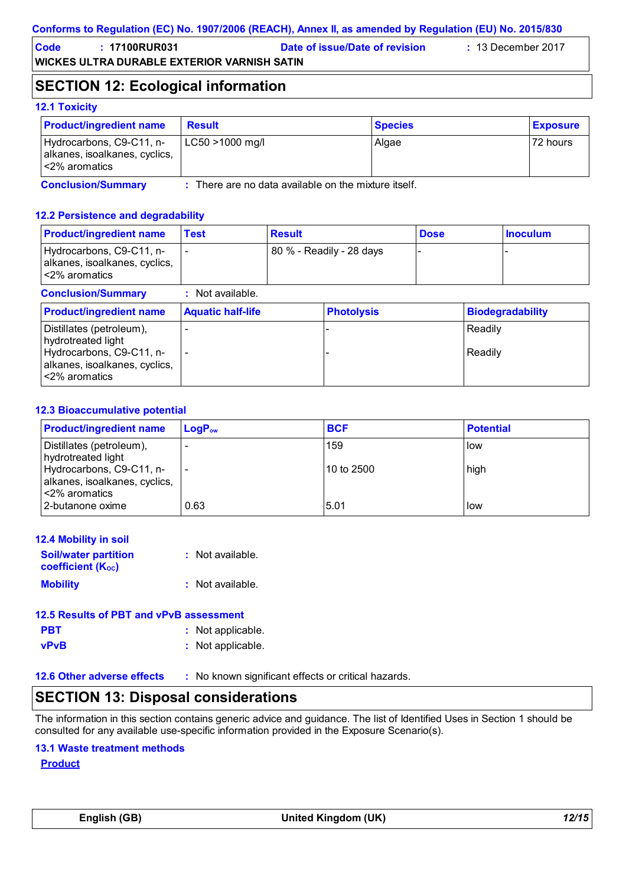### **Conforms to Regulation (EC) No. 1907/2006 (REACH), Annex II, as amended by Regulation (EU) No. 2015/830**

**Code : 17100RUR031 Date of issue/Date of revision :** 13 December 2017

**WICKES ULTRA DURABLE EXTERIOR VARNISH SATIN**

### **SECTION 12: Ecological information**

### **12.1 Toxicity**

| <b>Product/ingredient name</b>                                             | <b>Result</b>   | <b>Species</b> | <b>Exposure</b> |
|----------------------------------------------------------------------------|-----------------|----------------|-----------------|
| Hydrocarbons, C9-C11, n-<br>alkanes, isoalkanes, cyclics,<br><2% aromatics | LC50 >1000 mg/l | Algae          | 72 hours        |

**Conclusion/Summary :**

There are no data available on the mixture itself.

### **12.2 Persistence and degradability**

| <b>Product/ingredient name</b>                                                                                               | <b>Test</b>              | <b>Result</b> |                          | <b>Dose</b> |                    | <b>Inoculum</b>         |
|------------------------------------------------------------------------------------------------------------------------------|--------------------------|---------------|--------------------------|-------------|--------------------|-------------------------|
| Hydrocarbons, C9-C11, n-<br>alkanes, isoalkanes, cyclics,<br><2% aromatics                                                   |                          |               | 80 % - Readily - 28 days |             |                    |                         |
| <b>Conclusion/Summary</b>                                                                                                    | $:$ Not available.       |               |                          |             |                    |                         |
| <b>Product/ingredient name</b>                                                                                               | <b>Aquatic half-life</b> |               | <b>Photolysis</b>        |             |                    | <b>Biodegradability</b> |
| Distillates (petroleum),<br>hydrotreated light<br>Hydrocarbons, C9-C11, n-<br>alkanes, isoalkanes, cyclics,<br><2% aromatics | $\overline{\phantom{0}}$ |               |                          |             | Readily<br>Readily |                         |

### **12.3 Bioaccumulative potential**

| <b>Product/ingredient name</b>                            | $LogP_{ow}$ | <b>BCF</b> | <b>Potential</b> |
|-----------------------------------------------------------|-------------|------------|------------------|
| Distillates (petroleum),<br>hydrotreated light            |             | 159        | low              |
| Hydrocarbons, C9-C11, n-<br>alkanes, isoalkanes, cyclics, |             | 10 to 2500 | high             |
| l <2% aromatics<br>2-butanone oxime                       | 0.63        | 5.01       | low              |

| <b>12.4 Mobility in soil</b>                            |                    |
|---------------------------------------------------------|--------------------|
| <b>Soil/water partition</b><br><b>coefficient (Koc)</b> | : Not available.   |
| <b>Mobility</b>                                         | $:$ Not available. |

| 12.5 Results of PBT and vPvB assessment |                   |
|-----------------------------------------|-------------------|
| <b>PBT</b>                              | : Not applicable. |
| <b>vPvB</b>                             | : Not applicable. |

**12.6 Other adverse effects** : No known significant effects or critical hazards.

### **SECTION 13: Disposal considerations**

The information in this section contains generic advice and guidance. The list of Identified Uses in Section 1 should be consulted for any available use-specific information provided in the Exposure Scenario(s).

### **13.1 Waste treatment methods**

**Product**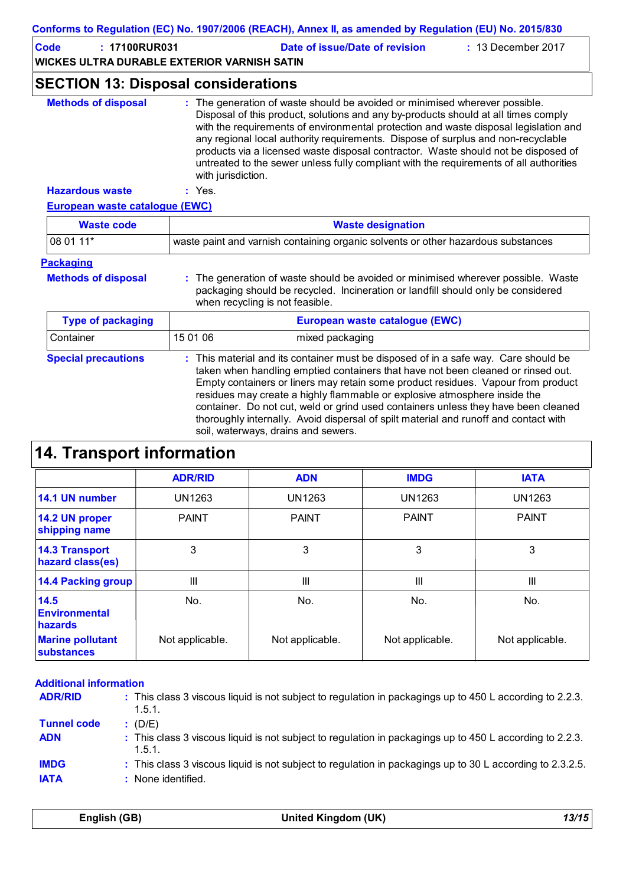| Conforms to Regulation (EC) No. 1907/2006 (REACH), Annex II, as amended by Regulation (EU) No. 2015/830 |                                                                                                                                                                                                          |                                                                                                                                                                                                                                                                                                                                                                                                                                                                                                                                                               |                          |               |
|---------------------------------------------------------------------------------------------------------|----------------------------------------------------------------------------------------------------------------------------------------------------------------------------------------------------------|---------------------------------------------------------------------------------------------------------------------------------------------------------------------------------------------------------------------------------------------------------------------------------------------------------------------------------------------------------------------------------------------------------------------------------------------------------------------------------------------------------------------------------------------------------------|--------------------------|---------------|
| <b>Code</b>                                                                                             | : 17100RUR031<br>Date of issue/Date of revision<br>$: 13$ December 2017<br><b>WICKES ULTRA DURABLE EXTERIOR VARNISH SATIN</b>                                                                            |                                                                                                                                                                                                                                                                                                                                                                                                                                                                                                                                                               |                          |               |
|                                                                                                         | <b>SECTION 13: Disposal considerations</b>                                                                                                                                                               |                                                                                                                                                                                                                                                                                                                                                                                                                                                                                                                                                               |                          |               |
| <b>Methods of disposal</b>                                                                              |                                                                                                                                                                                                          | : The generation of waste should be avoided or minimised wherever possible.<br>Disposal of this product, solutions and any by-products should at all times comply<br>with the requirements of environmental protection and waste disposal legislation and<br>any regional local authority requirements. Dispose of surplus and non-recyclable<br>products via a licensed waste disposal contractor. Waste should not be disposed of<br>untreated to the sewer unless fully compliant with the requirements of all authorities<br>with jurisdiction.           |                          |               |
| <b>Hazardous waste</b>                                                                                  | : Yes.                                                                                                                                                                                                   |                                                                                                                                                                                                                                                                                                                                                                                                                                                                                                                                                               |                          |               |
| <b>European waste catalogue (EWC)</b>                                                                   |                                                                                                                                                                                                          |                                                                                                                                                                                                                                                                                                                                                                                                                                                                                                                                                               |                          |               |
| <b>Waste code</b>                                                                                       |                                                                                                                                                                                                          |                                                                                                                                                                                                                                                                                                                                                                                                                                                                                                                                                               | <b>Waste designation</b> |               |
| 08 01 11*                                                                                               |                                                                                                                                                                                                          | waste paint and varnish containing organic solvents or other hazardous substances                                                                                                                                                                                                                                                                                                                                                                                                                                                                             |                          |               |
| <b>Packaging</b>                                                                                        |                                                                                                                                                                                                          |                                                                                                                                                                                                                                                                                                                                                                                                                                                                                                                                                               |                          |               |
| <b>Methods of disposal</b>                                                                              | : The generation of waste should be avoided or minimised wherever possible. Waste<br>packaging should be recycled. Incineration or landfill should only be considered<br>when recycling is not feasible. |                                                                                                                                                                                                                                                                                                                                                                                                                                                                                                                                                               |                          |               |
| <b>Type of packaging</b>                                                                                |                                                                                                                                                                                                          | European waste catalogue (EWC)                                                                                                                                                                                                                                                                                                                                                                                                                                                                                                                                |                          |               |
| Container                                                                                               | 15 01 06                                                                                                                                                                                                 | mixed packaging                                                                                                                                                                                                                                                                                                                                                                                                                                                                                                                                               |                          |               |
| <b>Special precautions</b>                                                                              |                                                                                                                                                                                                          | : This material and its container must be disposed of in a safe way. Care should be<br>taken when handling emptied containers that have not been cleaned or rinsed out.<br>Empty containers or liners may retain some product residues. Vapour from product<br>residues may create a highly flammable or explosive atmosphere inside the<br>container. Do not cut, weld or grind used containers unless they have been cleaned<br>thoroughly internally. Avoid dispersal of spilt material and runoff and contact with<br>soil, waterways, drains and sewers. |                          |               |
| <b>14. Transport information</b>                                                                        |                                                                                                                                                                                                          |                                                                                                                                                                                                                                                                                                                                                                                                                                                                                                                                                               |                          |               |
|                                                                                                         | <b>ADR/RID</b>                                                                                                                                                                                           | <b>ADN</b>                                                                                                                                                                                                                                                                                                                                                                                                                                                                                                                                                    | <b>IMDG</b>              | <b>IATA</b>   |
| 14.1 UN number                                                                                          | <b>UN1263</b>                                                                                                                                                                                            | <b>UN1263</b>                                                                                                                                                                                                                                                                                                                                                                                                                                                                                                                                                 | <b>UN1263</b>            | <b>UN1263</b> |
| 14.2 UN proper<br>shipping name                                                                         | <b>PAINT</b>                                                                                                                                                                                             | <b>PAINT</b>                                                                                                                                                                                                                                                                                                                                                                                                                                                                                                                                                  | <b>PAINT</b>             | <b>PAINT</b>  |
| <b>14.3 Transport</b>                                                                                   | 3                                                                                                                                                                                                        | 3                                                                                                                                                                                                                                                                                                                                                                                                                                                                                                                                                             | 3                        | 3             |

| shipping name                                |                 |                 |                 |                 |
|----------------------------------------------|-----------------|-----------------|-----------------|-----------------|
| <b>14.3 Transport</b><br>hazard class(es)    |                 | 3               | 3               |                 |
| 14.4 Packing group                           | Ш               | Ш               | Ш               | Ш               |
| 14.5<br><b>Environmental</b><br>hazards      | No.             | No.             | No.             | No.             |
| <b>Marine pollutant</b><br><b>substances</b> | Not applicable. | Not applicable. | Not applicable. | Not applicable. |

| <b>Additional information</b>    |                                                                                                                                 |
|----------------------------------|---------------------------------------------------------------------------------------------------------------------------------|
| <b>ADR/RID</b>                   | : This class 3 viscous liquid is not subject to regulation in packagings up to 450 L according to 2.2.3.<br>1.5.1.              |
| <b>Tunnel code</b><br><b>ADN</b> | (D/E)<br>: This class 3 viscous liquid is not subject to regulation in packagings up to 450 L according to 2.2.3.<br>1.5.1.     |
| <b>IMDG</b><br><b>IATA</b>       | : This class 3 viscous liquid is not subject to regulation in packagings up to 30 L according to 2.3.2.5.<br>: None identified. |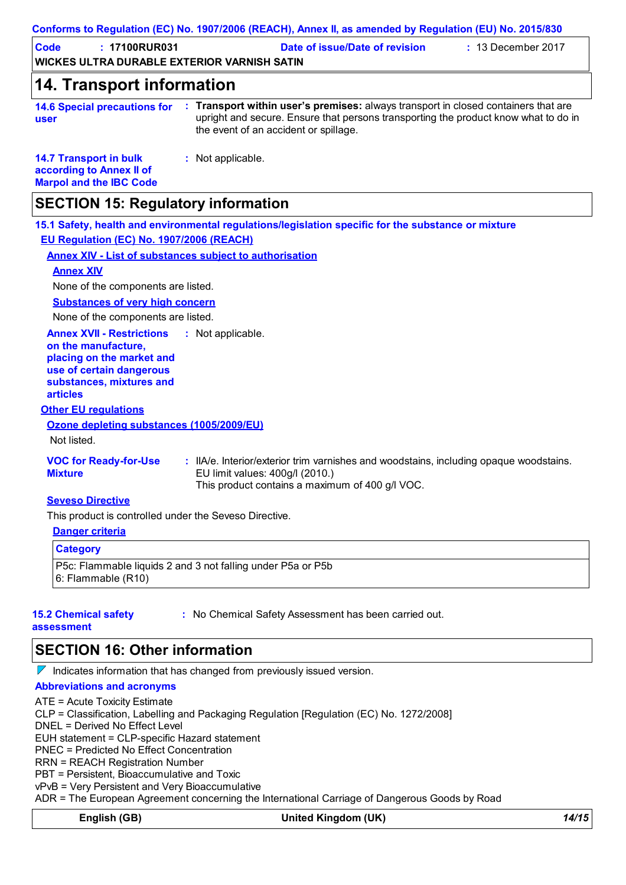| <b>Code</b><br>: 17100RUR031<br><b>WICKES ULTRA DURABLE EXTERIOR VARNISH SATIN</b>                                                                              |                                       | Date of issue/Date of revision                                                                                                                                            | $: 13$ December 2017 |
|-----------------------------------------------------------------------------------------------------------------------------------------------------------------|---------------------------------------|---------------------------------------------------------------------------------------------------------------------------------------------------------------------------|----------------------|
| <b>14. Transport information</b>                                                                                                                                |                                       |                                                                                                                                                                           |                      |
|                                                                                                                                                                 |                                       |                                                                                                                                                                           |                      |
| <b>14.6 Special precautions for</b><br>user                                                                                                                     | the event of an accident or spillage. | : Transport within user's premises: always transport in closed containers that are<br>upright and secure. Ensure that persons transporting the product know what to do in |                      |
| <b>14.7 Transport in bulk</b><br>according to Annex II of<br><b>Marpol and the IBC Code</b>                                                                     | : Not applicable.                     |                                                                                                                                                                           |                      |
| <b>SECTION 15: Regulatory information</b>                                                                                                                       |                                       |                                                                                                                                                                           |                      |
|                                                                                                                                                                 |                                       | 15.1 Safety, health and environmental regulations/legislation specific for the substance or mixture                                                                       |                      |
| EU Regulation (EC) No. 1907/2006 (REACH)                                                                                                                        |                                       |                                                                                                                                                                           |                      |
| <b>Annex XIV - List of substances subject to authorisation</b>                                                                                                  |                                       |                                                                                                                                                                           |                      |
| <b>Annex XIV</b>                                                                                                                                                |                                       |                                                                                                                                                                           |                      |
| None of the components are listed.                                                                                                                              |                                       |                                                                                                                                                                           |                      |
| <b>Substances of very high concern</b>                                                                                                                          |                                       |                                                                                                                                                                           |                      |
| None of the components are listed.                                                                                                                              |                                       |                                                                                                                                                                           |                      |
| <b>Annex XVII - Restrictions</b><br>on the manufacture,<br>placing on the market and<br>use of certain dangerous<br>substances, mixtures and<br><b>articles</b> | : Not applicable.                     |                                                                                                                                                                           |                      |
| <b>Other EU regulations</b>                                                                                                                                     |                                       |                                                                                                                                                                           |                      |
| Ozone depleting substances (1005/2009/EU)                                                                                                                       |                                       |                                                                                                                                                                           |                      |
| Not listed.                                                                                                                                                     |                                       |                                                                                                                                                                           |                      |
| <b>VOC for Ready-for-Use</b><br><b>Mixture</b>                                                                                                                  | EU limit values: 400g/l (2010.)       | : IIA/e. Interior/exterior trim varnishes and woodstains, including opaque woodstains.<br>This product contains a maximum of 400 g/l VOC.                                 |                      |
| <b>Seveso Directive</b>                                                                                                                                         |                                       |                                                                                                                                                                           |                      |
| This product is controlled under the Seveso Directive.                                                                                                          |                                       |                                                                                                                                                                           |                      |
| <b>Danger criteria</b>                                                                                                                                          |                                       |                                                                                                                                                                           |                      |
| <b>Category</b>                                                                                                                                                 |                                       |                                                                                                                                                                           |                      |
| P5c: Flammable liquids 2 and 3 not falling under P5a or P5b<br>6: Flammable (R10)                                                                               |                                       |                                                                                                                                                                           |                      |

### **SECTION 16: Other information**

 $\nabla$  Indicates information that has changed from previously issued version.

### **Abbreviations and acronyms**

ATE = Acute Toxicity Estimate CLP = Classification, Labelling and Packaging Regulation [Regulation (EC) No. 1272/2008] DNEL = Derived No Effect Level EUH statement = CLP-specific Hazard statement PNEC = Predicted No Effect Concentration RRN = REACH Registration Number PBT = Persistent, Bioaccumulative and Toxic vPvB = Very Persistent and Very Bioaccumulative ADR = The European Agreement concerning the International Carriage of Dangerous Goods by Road **English (GB) United Kingdom (UK)** *14/15*